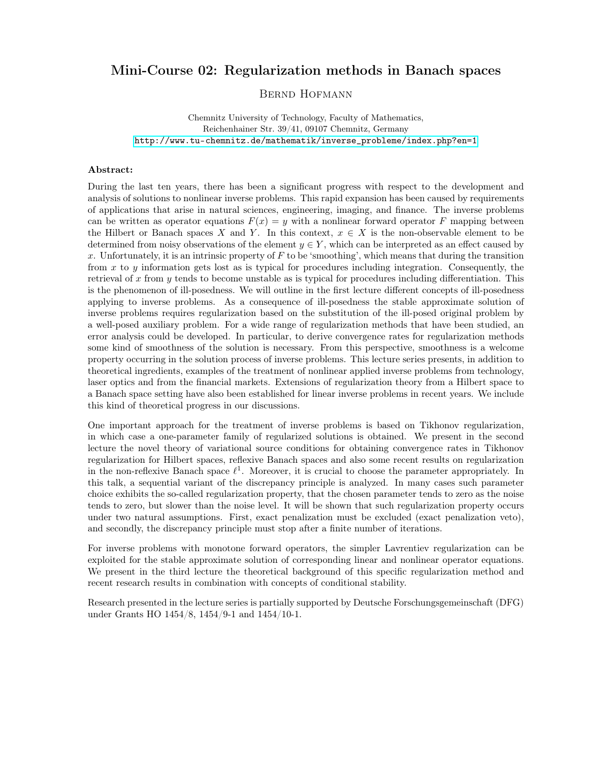## Mini-Course 02: Regularization methods in Banach spaces

Bernd Hofmann

Chemnitz University of Technology, Faculty of Mathematics, Reichenhainer Str. 39/41, 09107 Chemnitz, Germany [http://www.tu-chemnitz.de/mathematik/inverse\\_probleme/index.php?en=1](http://www.tu-chemnitz.de/mathematik/inverse_probleme/index.php?en=1)

## Abstract:

During the last ten years, there has been a significant progress with respect to the development and analysis of solutions to nonlinear inverse problems. This rapid expansion has been caused by requirements of applications that arise in natural sciences, engineering, imaging, and finance. The inverse problems can be written as operator equations  $F(x) = y$  with a nonlinear forward operator F mapping between the Hilbert or Banach spaces X and Y. In this context,  $x \in X$  is the non-observable element to be determined from noisy observations of the element  $y \in Y$ , which can be interpreted as an effect caused by x. Unfortunately, it is an intrinsic property of  $F$  to be 'smoothing', which means that during the transition from  $x$  to  $y$  information gets lost as is typical for procedures including integration. Consequently, the retrieval of x from y tends to become unstable as is typical for procedures including differentiation. This is the phenomenon of ill-posedness. We will outline in the first lecture different concepts of ill-posedness applying to inverse problems. As a consequence of ill-posedness the stable approximate solution of inverse problems requires regularization based on the substitution of the ill-posed original problem by a well-posed auxiliary problem. For a wide range of regularization methods that have been studied, an error analysis could be developed. In particular, to derive convergence rates for regularization methods some kind of smoothness of the solution is necessary. From this perspective, smoothness is a welcome property occurring in the solution process of inverse problems. This lecture series presents, in addition to theoretical ingredients, examples of the treatment of nonlinear applied inverse problems from technology, laser optics and from the financial markets. Extensions of regularization theory from a Hilbert space to a Banach space setting have also been established for linear inverse problems in recent years. We include this kind of theoretical progress in our discussions.

One important approach for the treatment of inverse problems is based on Tikhonov regularization, in which case a one-parameter family of regularized solutions is obtained. We present in the second lecture the novel theory of variational source conditions for obtaining convergence rates in Tikhonov regularization for Hilbert spaces, reflexive Banach spaces and also some recent results on regularization in the non-reflexive Banach space  $\ell^1$ . Moreover, it is crucial to choose the parameter appropriately. In this talk, a sequential variant of the discrepancy principle is analyzed. In many cases such parameter choice exhibits the so-called regularization property, that the chosen parameter tends to zero as the noise tends to zero, but slower than the noise level. It will be shown that such regularization property occurs under two natural assumptions. First, exact penalization must be excluded (exact penalization veto), and secondly, the discrepancy principle must stop after a finite number of iterations.

For inverse problems with monotone forward operators, the simpler Lavrentiev regularization can be exploited for the stable approximate solution of corresponding linear and nonlinear operator equations. We present in the third lecture the theoretical background of this specific regularization method and recent research results in combination with concepts of conditional stability.

Research presented in the lecture series is partially supported by Deutsche Forschungsgemeinschaft (DFG) under Grants HO 1454/8, 1454/9-1 and 1454/10-1.